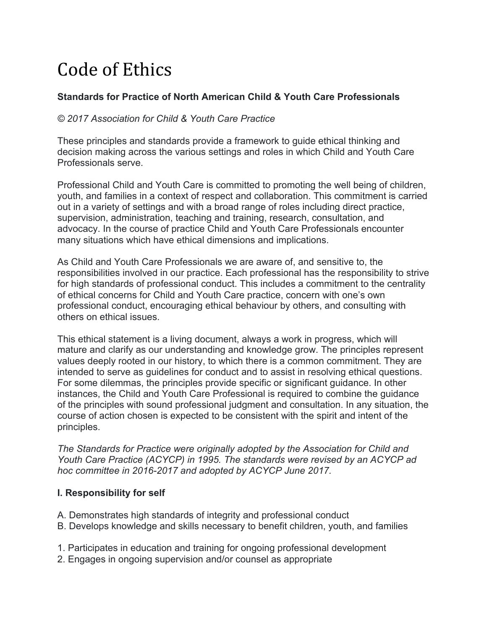# Code of Ethics

# **Standards for Practice of North American Child & Youth Care Professionals**

# *© 2017 Association for Child & Youth Care Practice*

These principles and standards provide a framework to guide ethical thinking and decision making across the various settings and roles in which Child and Youth Care Professionals serve.

Professional Child and Youth Care is committed to promoting the well being of children, youth, and families in a context of respect and collaboration. This commitment is carried out in a variety of settings and with a broad range of roles including direct practice, supervision, administration, teaching and training, research, consultation, and advocacy. In the course of practice Child and Youth Care Professionals encounter many situations which have ethical dimensions and implications.

As Child and Youth Care Professionals we are aware of, and sensitive to, the responsibilities involved in our practice. Each professional has the responsibility to strive for high standards of professional conduct. This includes a commitment to the centrality of ethical concerns for Child and Youth Care practice, concern with one's own professional conduct, encouraging ethical behaviour by others, and consulting with others on ethical issues.

This ethical statement is a living document, always a work in progress, which will mature and clarify as our understanding and knowledge grow. The principles represent values deeply rooted in our history, to which there is a common commitment. They are intended to serve as guidelines for conduct and to assist in resolving ethical questions. For some dilemmas, the principles provide specific or significant guidance. In other instances, the Child and Youth Care Professional is required to combine the guidance of the principles with sound professional judgment and consultation. In any situation, the course of action chosen is expected to be consistent with the spirit and intent of the principles.

*The Standards for Practice were originally adopted by the Association for Child and Youth Care Practice (ACYCP) in 1995. The standards were revised by an ACYCP ad hoc committee in 2016-2017 and adopted by ACYCP June 2017.*

# **I. Responsibility for self**

- A. Demonstrates high standards of integrity and professional conduct
- B. Develops knowledge and skills necessary to benefit children, youth, and families
- 1. Participates in education and training for ongoing professional development
- 2. Engages in ongoing supervision and/or counsel as appropriate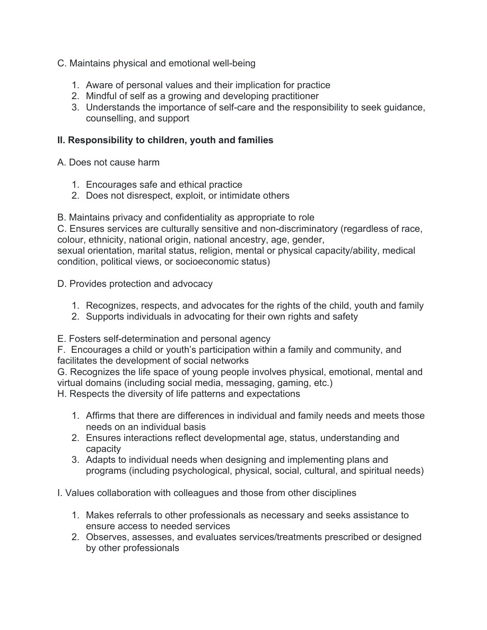- C. Maintains physical and emotional well-being
	- 1. Aware of personal values and their implication for practice
	- 2. Mindful of self as a growing and developing practitioner
	- 3. Understands the importance of self-care and the responsibility to seek guidance, counselling, and support

# **II. Responsibility to children, youth and families**

A. Does not cause harm

- 1. Encourages safe and ethical practice
- 2. Does not disrespect, exploit, or intimidate others

B. Maintains privacy and confidentiality as appropriate to role

C. Ensures services are culturally sensitive and non-discriminatory (regardless of race, colour, ethnicity, national origin, national ancestry, age, gender, sexual orientation, marital status, religion, mental or physical capacity/ability, medical condition, political views, or socioeconomic status)

- D. Provides protection and advocacy
	- 1. Recognizes, respects, and advocates for the rights of the child, youth and family
	- 2. Supports individuals in advocating for their own rights and safety

E. Fosters self-determination and personal agency

F. Encourages a child or youth's participation within a family and community, and facilitates the development of social networks

G. Recognizes the life space of young people involves physical, emotional, mental and virtual domains (including social media, messaging, gaming, etc.)

H. Respects the diversity of life patterns and expectations

- 1. Affirms that there are differences in individual and family needs and meets those needs on an individual basis
- 2. Ensures interactions reflect developmental age, status, understanding and capacity
- 3. Adapts to individual needs when designing and implementing plans and programs (including psychological, physical, social, cultural, and spiritual needs)

I. Values collaboration with colleagues and those from other disciplines

- 1. Makes referrals to other professionals as necessary and seeks assistance to ensure access to needed services
- 2. Observes, assesses, and evaluates services/treatments prescribed or designed by other professionals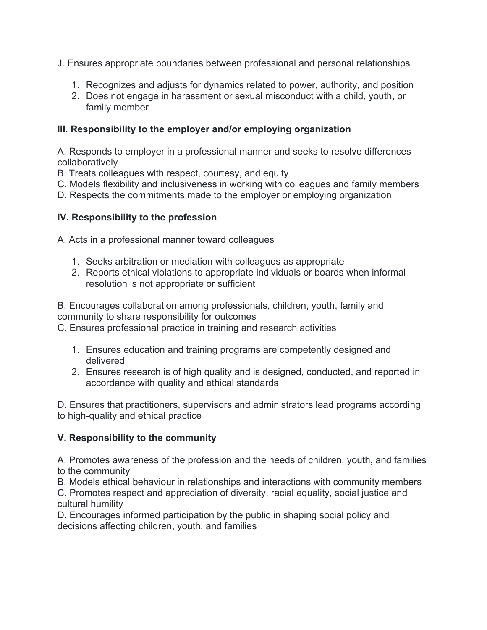- J. Ensures appropriate boundaries between professional and personal relationships
	- 1. Recognizes and adjusts for dynamics related to power, authority, and position
	- 2. Does not engage in harassment or sexual misconduct with a child, youth, or family member

### **III. Responsibility to the employer and/or employing organization**

A. Responds to employer in a professional manner and seeks to resolve differences collaboratively

- B. Treats colleagues with respect, courtesy, and equity
- C. Models flexibility and inclusiveness in working with colleagues and family members
- D. Respects the commitments made to the employer or employing organization

#### **IV. Responsibility to the profession**

A. Acts in a professional manner toward colleagues

- 1. Seeks arbitration or mediation with colleagues as appropriate
- 2. Reports ethical violations to appropriate individuals or boards when informal resolution is not appropriate or sufficient

B. Encourages collaboration among professionals, children, youth, family and community to share responsibility for outcomes

C. Ensures professional practice in training and research activities

- 1. Ensures education and training programs are competently designed and delivered
- 2. Ensures research is of high quality and is designed, conducted, and reported in accordance with quality and ethical standards

D. Ensures that practitioners, supervisors and administrators lead programs according to high-quality and ethical practice

#### **V. Responsibility to the community**

A. Promotes awareness of the profession and the needs of children, youth, and families to the community

B. Models ethical behaviour in relationships and interactions with community members

C. Promotes respect and appreciation of diversity, racial equality, social justice and cultural humility

D. Encourages informed participation by the public in shaping social policy and decisions affecting children, youth, and families